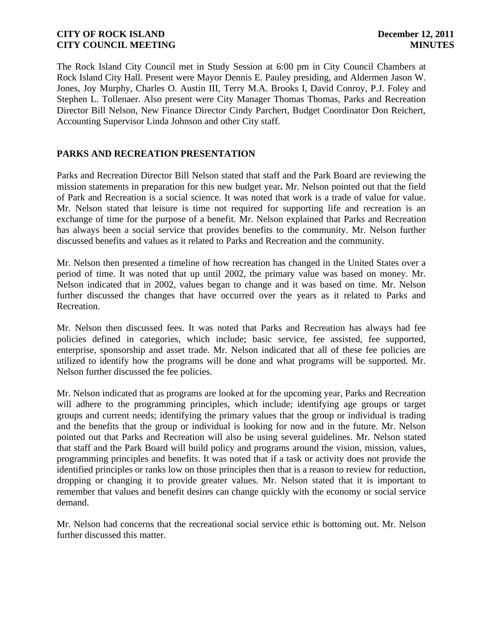The Rock Island City Council met in Study Session at 6:00 pm in City Council Chambers at Rock Island City Hall. Present were Mayor Dennis E. Pauley presiding, and Aldermen Jason W. Jones, Joy Murphy, Charles O. Austin III, Terry M.A. Brooks I, David Conroy, P.J. Foley and Stephen L. Tollenaer. Also present were City Manager Thomas Thomas, Parks and Recreation Director Bill Nelson, New Finance Director Cindy Parchert, Budget Coordinator Don Reichert, Accounting Supervisor Linda Johnson and other City staff.

# **PARKS AND RECREATION PRESENTATION**

Parks and Recreation Director Bill Nelson stated that staff and the Park Board are reviewing the mission statements in preparation for this new budget year**.** Mr. Nelson pointed out that the field of Park and Recreation is a social science. It was noted that work is a trade of value for value. Mr. Nelson stated that leisure is time not required for supporting life and recreation is an exchange of time for the purpose of a benefit. Mr. Nelson explained that Parks and Recreation has always been a social service that provides benefits to the community. Mr. Nelson further discussed benefits and values as it related to Parks and Recreation and the community.

Mr. Nelson then presented a timeline of how recreation has changed in the United States over a period of time. It was noted that up until 2002, the primary value was based on money. Mr. Nelson indicated that in 2002, values began to change and it was based on time. Mr. Nelson further discussed the changes that have occurred over the years as it related to Parks and Recreation.

Mr. Nelson then discussed fees. It was noted that Parks and Recreation has always had fee policies defined in categories, which include; basic service, fee assisted, fee supported, enterprise, sponsorship and asset trade. Mr. Nelson indicated that all of these fee policies are utilized to identify how the programs will be done and what programs will be supported. Mr. Nelson further discussed the fee policies.

Mr. Nelson indicated that as programs are looked at for the upcoming year, Parks and Recreation will adhere to the programming principles, which include; identifying age groups or target groups and current needs; identifying the primary values that the group or individual is trading and the benefits that the group or individual is looking for now and in the future. Mr. Nelson pointed out that Parks and Recreation will also be using several guidelines. Mr. Nelson stated that staff and the Park Board will build policy and programs around the vision, mission, values, programming principles and benefits. It was noted that if a task or activity does not provide the identified principles or ranks low on those principles then that is a reason to review for reduction, dropping or changing it to provide greater values. Mr. Nelson stated that it is important to remember that values and benefit desires can change quickly with the economy or social service demand.

Mr. Nelson had concerns that the recreational social service ethic is bottoming out. Mr. Nelson further discussed this matter.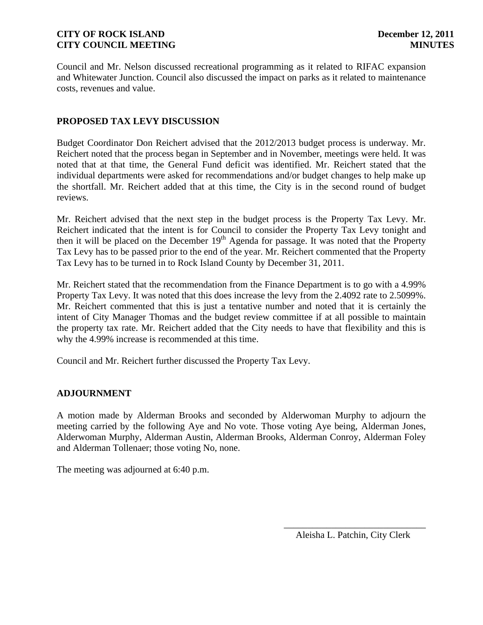Council and Mr. Nelson discussed recreational programming as it related to RIFAC expansion and Whitewater Junction. Council also discussed the impact on parks as it related to maintenance costs, revenues and value.

# **PROPOSED TAX LEVY DISCUSSION**

Budget Coordinator Don Reichert advised that the 2012/2013 budget process is underway. Mr. Reichert noted that the process began in September and in November, meetings were held. It was noted that at that time, the General Fund deficit was identified. Mr. Reichert stated that the individual departments were asked for recommendations and/or budget changes to help make up the shortfall. Mr. Reichert added that at this time, the City is in the second round of budget reviews.

Mr. Reichert advised that the next step in the budget process is the Property Tax Levy. Mr. Reichert indicated that the intent is for Council to consider the Property Tax Levy tonight and then it will be placed on the December  $19<sup>th</sup>$  Agenda for passage. It was noted that the Property Tax Levy has to be passed prior to the end of the year. Mr. Reichert commented that the Property Tax Levy has to be turned in to Rock Island County by December 31, 2011.

Mr. Reichert stated that the recommendation from the Finance Department is to go with a 4.99% Property Tax Levy. It was noted that this does increase the levy from the 2.4092 rate to 2.5099%. Mr. Reichert commented that this is just a tentative number and noted that it is certainly the intent of City Manager Thomas and the budget review committee if at all possible to maintain the property tax rate. Mr. Reichert added that the City needs to have that flexibility and this is why the 4.99% increase is recommended at this time.

Council and Mr. Reichert further discussed the Property Tax Levy.

### **ADJOURNMENT**

A motion made by Alderman Brooks and seconded by Alderwoman Murphy to adjourn the meeting carried by the following Aye and No vote. Those voting Aye being, Alderman Jones, Alderwoman Murphy, Alderman Austin, Alderman Brooks, Alderman Conroy, Alderman Foley and Alderman Tollenaer; those voting No, none.

The meeting was adjourned at 6:40 p.m.

\_\_\_\_\_\_\_\_\_\_\_\_\_\_\_\_\_\_\_\_\_\_\_\_\_\_\_\_\_\_ Aleisha L. Patchin, City Clerk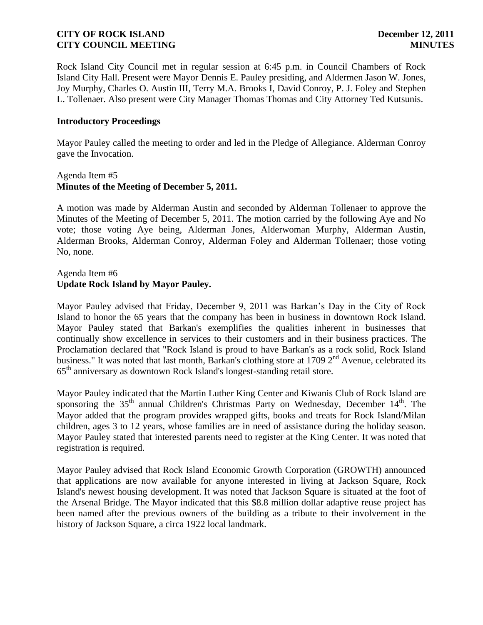Rock Island City Council met in regular session at 6:45 p.m. in Council Chambers of Rock Island City Hall. Present were Mayor Dennis E. Pauley presiding, and Aldermen Jason W. Jones, Joy Murphy, Charles O. Austin III, Terry M.A. Brooks I, David Conroy, P. J. Foley and Stephen L. Tollenaer. Also present were City Manager Thomas Thomas and City Attorney Ted Kutsunis.

### **Introductory Proceedings**

Mayor Pauley called the meeting to order and led in the Pledge of Allegiance. Alderman Conroy gave the Invocation.

### Agenda Item #5 **Minutes of the Meeting of December 5, 2011.**

A motion was made by Alderman Austin and seconded by Alderman Tollenaer to approve the Minutes of the Meeting of December 5, 2011. The motion carried by the following Aye and No vote; those voting Aye being, Alderman Jones, Alderwoman Murphy, Alderman Austin, Alderman Brooks, Alderman Conroy, Alderman Foley and Alderman Tollenaer; those voting No, none.

# Agenda Item #6 **Update Rock Island by Mayor Pauley.**

Mayor Pauley advised that Friday, December 9, 2011 was Barkan's Day in the City of Rock Island to honor the 65 years that the company has been in business in downtown Rock Island. Mayor Pauley stated that Barkan's exemplifies the qualities inherent in businesses that continually show excellence in services to their customers and in their business practices. The Proclamation declared that "Rock Island is proud to have Barkan's as a rock solid, Rock Island business." It was noted that last month, Barkan's clothing store at 1709  $2<sup>nd</sup>$  Avenue, celebrated its 65th anniversary as downtown Rock Island's longest-standing retail store.

Mayor Pauley indicated that the Martin Luther King Center and Kiwanis Club of Rock Island are sponsoring the 35<sup>th</sup> annual Children's Christmas Party on Wednesday, December 14<sup>th</sup>. The Mayor added that the program provides wrapped gifts, books and treats for Rock Island/Milan children, ages 3 to 12 years, whose families are in need of assistance during the holiday season. Mayor Pauley stated that interested parents need to register at the King Center. It was noted that registration is required.

Mayor Pauley advised that Rock Island Economic Growth Corporation (GROWTH) announced that applications are now available for anyone interested in living at Jackson Square, Rock Island's newest housing development. It was noted that Jackson Square is situated at the foot of the Arsenal Bridge. The Mayor indicated that this \$8.8 million dollar adaptive reuse project has been named after the previous owners of the building as a tribute to their involvement in the history of Jackson Square, a circa 1922 local landmark.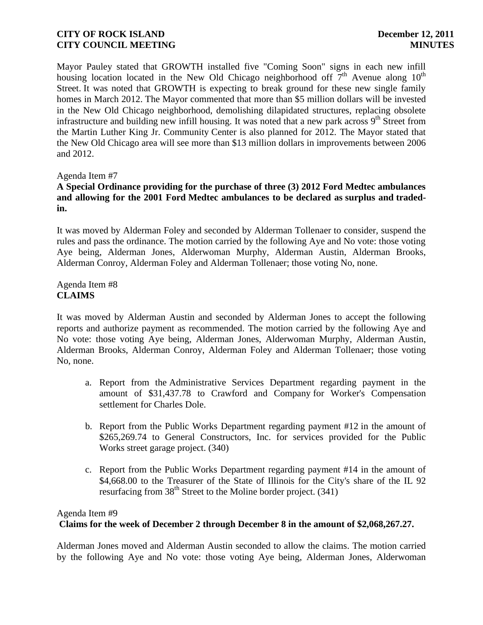Mayor Pauley stated that GROWTH installed five "Coming Soon" signs in each new infill housing location located in the New Old Chicago neighborhood off  $7<sup>th</sup>$  Avenue along 10<sup>th</sup> Street. It was noted that GROWTH is expecting to break ground for these new single family homes in March 2012. The Mayor commented that more than \$5 million dollars will be invested in the New Old Chicago neighborhood, demolishing dilapidated structures, replacing obsolete infrastructure and building new infill housing. It was noted that a new park across  $9<sup>th</sup>$  Street from the Martin Luther King Jr. Community Center is also planned for 2012. The Mayor stated that the New Old Chicago area will see more than \$13 million dollars in improvements between 2006 and 2012.

### Agenda Item #7

# **A Special Ordinance providing for the purchase of three (3) 2012 Ford Medtec ambulances and allowing for the 2001 Ford Medtec ambulances to be declared as surplus and tradedin.**

It was moved by Alderman Foley and seconded by Alderman Tollenaer to consider, suspend the rules and pass the ordinance. The motion carried by the following Aye and No vote: those voting Aye being, Alderman Jones, Alderwoman Murphy, Alderman Austin, Alderman Brooks, Alderman Conroy, Alderman Foley and Alderman Tollenaer; those voting No, none.

Agenda Item #8 **CLAIMS**

It was moved by Alderman Austin and seconded by Alderman Jones to accept the following reports and authorize payment as recommended. The motion carried by the following Aye and No vote: those voting Aye being, Alderman Jones, Alderwoman Murphy, Alderman Austin, Alderman Brooks, Alderman Conroy, Alderman Foley and Alderman Tollenaer; those voting No, none.

- a. Report from the Administrative Services Department regarding payment in the amount of \$31,437.78 to Crawford and Company for Worker's Compensation settlement for Charles Dole.
- b. Report from the Public Works Department regarding payment #12 in the amount of \$265,269.74 to General Constructors, Inc. for services provided for the Public Works street garage project. (340)
- c. Report from the Public Works Department regarding payment #14 in the amount of \$4,668.00 to the Treasurer of the State of Illinois for the City's share of the IL 92 resurfacing from  $38<sup>th</sup>$  Street to the Moline border project. (341)

# Agenda Item #9  **Claims for the week of December 2 through December 8 in the amount of \$2,068,267.27.**

Alderman Jones moved and Alderman Austin seconded to allow the claims. The motion carried by the following Aye and No vote: those voting Aye being, Alderman Jones, Alderwoman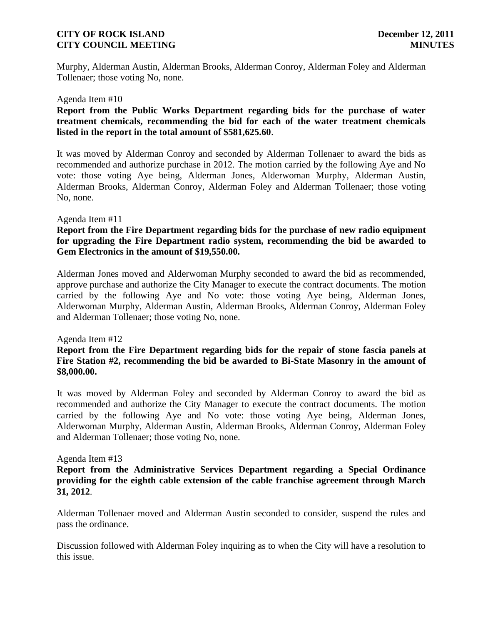Murphy, Alderman Austin, Alderman Brooks, Alderman Conroy, Alderman Foley and Alderman Tollenaer; those voting No, none.

#### Agenda Item #10

# **Report from the Public Works Department regarding bids for the purchase of water treatment chemicals, recommending the bid for each of the water treatment chemicals listed in the report in the total amount of \$581,625.60**.

It was moved by Alderman Conroy and seconded by Alderman Tollenaer to award the bids as recommended and authorize purchase in 2012. The motion carried by the following Aye and No vote: those voting Aye being, Alderman Jones, Alderwoman Murphy, Alderman Austin, Alderman Brooks, Alderman Conroy, Alderman Foley and Alderman Tollenaer; those voting No, none.

#### Agenda Item #11

# **Report from the Fire Department regarding bids for the purchase of new radio equipment for upgrading the Fire Department radio system, recommending the bid be awarded to Gem Electronics in the amount of \$19,550.00.**

Alderman Jones moved and Alderwoman Murphy seconded to award the bid as recommended, approve purchase and authorize the City Manager to execute the contract documents. The motion carried by the following Aye and No vote: those voting Aye being, Alderman Jones, Alderwoman Murphy, Alderman Austin, Alderman Brooks, Alderman Conroy, Alderman Foley and Alderman Tollenaer; those voting No, none.

#### Agenda Item #12

# **Report from the Fire Department regarding bids for the repair of stone fascia panels at Fire Station #2, recommending the bid be awarded to Bi-State Masonry in the amount of \$8,000.00.**

It was moved by Alderman Foley and seconded by Alderman Conroy to award the bid as recommended and authorize the City Manager to execute the contract documents. The motion carried by the following Aye and No vote: those voting Aye being, Alderman Jones, Alderwoman Murphy, Alderman Austin, Alderman Brooks, Alderman Conroy, Alderman Foley and Alderman Tollenaer; those voting No, none.

#### Agenda Item #13

# **Report from the Administrative Services Department regarding a Special Ordinance providing for the eighth cable extension of the cable franchise agreement through March 31, 2012**.

Alderman Tollenaer moved and Alderman Austin seconded to consider, suspend the rules and pass the ordinance.

Discussion followed with Alderman Foley inquiring as to when the City will have a resolution to this issue.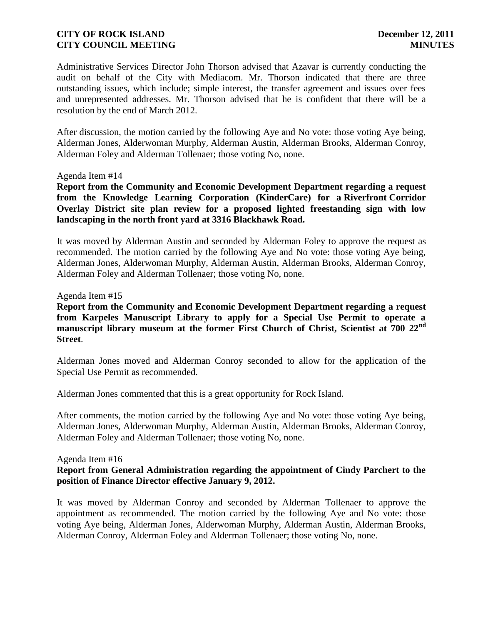Administrative Services Director John Thorson advised that Azavar is currently conducting the audit on behalf of the City with Mediacom. Mr. Thorson indicated that there are three outstanding issues, which include; simple interest, the transfer agreement and issues over fees and unrepresented addresses. Mr. Thorson advised that he is confident that there will be a resolution by the end of March 2012.

After discussion, the motion carried by the following Aye and No vote: those voting Aye being, Alderman Jones, Alderwoman Murphy, Alderman Austin, Alderman Brooks, Alderman Conroy, Alderman Foley and Alderman Tollenaer; those voting No, none.

#### Agenda Item #14

**Report from the Community and Economic Development Department regarding a request from the Knowledge Learning Corporation (KinderCare) for a Riverfront Corridor Overlay District site plan review for a proposed lighted freestanding sign with low landscaping in the north front yard at 3316 Blackhawk Road.**

It was moved by Alderman Austin and seconded by Alderman Foley to approve the request as recommended. The motion carried by the following Aye and No vote: those voting Aye being, Alderman Jones, Alderwoman Murphy, Alderman Austin, Alderman Brooks, Alderman Conroy, Alderman Foley and Alderman Tollenaer; those voting No, none.

#### Agenda Item #15

**Report from the Community and Economic Development Department regarding a request from Karpeles Manuscript Library to apply for a Special Use Permit to operate a manuscript library museum at the former First Church of Christ, Scientist at 700 22nd Street**.

Alderman Jones moved and Alderman Conroy seconded to allow for the application of the Special Use Permit as recommended.

Alderman Jones commented that this is a great opportunity for Rock Island.

After comments, the motion carried by the following Aye and No vote: those voting Aye being, Alderman Jones, Alderwoman Murphy, Alderman Austin, Alderman Brooks, Alderman Conroy, Alderman Foley and Alderman Tollenaer; those voting No, none.

#### Agenda Item #16

# **Report from General Administration regarding the appointment of Cindy Parchert to the position of Finance Director effective January 9, 2012.**

It was moved by Alderman Conroy and seconded by Alderman Tollenaer to approve the appointment as recommended. The motion carried by the following Aye and No vote: those voting Aye being, Alderman Jones, Alderwoman Murphy, Alderman Austin, Alderman Brooks, Alderman Conroy, Alderman Foley and Alderman Tollenaer; those voting No, none.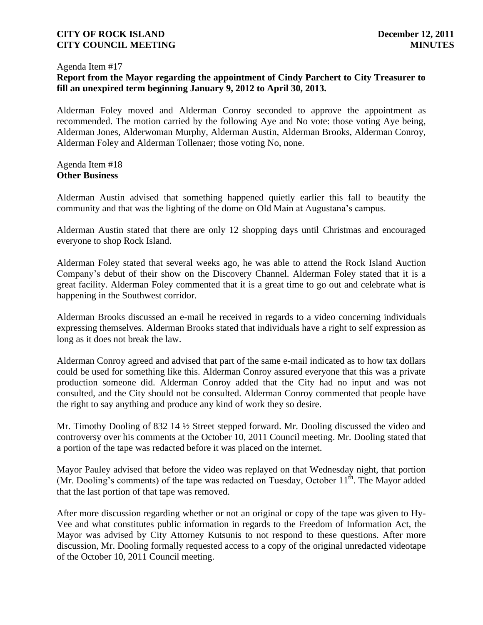#### Agenda Item #17

# **Report from the Mayor regarding the appointment of Cindy Parchert to City Treasurer to fill an unexpired term beginning January 9, 2012 to April 30, 2013.**

Alderman Foley moved and Alderman Conroy seconded to approve the appointment as recommended. The motion carried by the following Aye and No vote: those voting Aye being, Alderman Jones, Alderwoman Murphy, Alderman Austin, Alderman Brooks, Alderman Conroy, Alderman Foley and Alderman Tollenaer; those voting No, none.

#### Agenda Item #18 **Other Business**

Alderman Austin advised that something happened quietly earlier this fall to beautify the community and that was the lighting of the dome on Old Main at Augustana's campus.

Alderman Austin stated that there are only 12 shopping days until Christmas and encouraged everyone to shop Rock Island.

Alderman Foley stated that several weeks ago, he was able to attend the Rock Island Auction Company's debut of their show on the Discovery Channel. Alderman Foley stated that it is a great facility. Alderman Foley commented that it is a great time to go out and celebrate what is happening in the Southwest corridor.

Alderman Brooks discussed an e-mail he received in regards to a video concerning individuals expressing themselves. Alderman Brooks stated that individuals have a right to self expression as long as it does not break the law.

Alderman Conroy agreed and advised that part of the same e-mail indicated as to how tax dollars could be used for something like this. Alderman Conroy assured everyone that this was a private production someone did. Alderman Conroy added that the City had no input and was not consulted, and the City should not be consulted. Alderman Conroy commented that people have the right to say anything and produce any kind of work they so desire.

Mr. Timothy Dooling of 832 14 ½ Street stepped forward. Mr. Dooling discussed the video and controversy over his comments at the October 10, 2011 Council meeting. Mr. Dooling stated that a portion of the tape was redacted before it was placed on the internet.

Mayor Pauley advised that before the video was replayed on that Wednesday night, that portion (Mr. Dooling's comments) of the tape was redacted on Tuesday, October  $11<sup>th</sup>$ . The Mayor added that the last portion of that tape was removed.

After more discussion regarding whether or not an original or copy of the tape was given to Hy-Vee and what constitutes public information in regards to the Freedom of Information Act, the Mayor was advised by City Attorney Kutsunis to not respond to these questions. After more discussion, Mr. Dooling formally requested access to a copy of the original unredacted videotape of the October 10, 2011 Council meeting.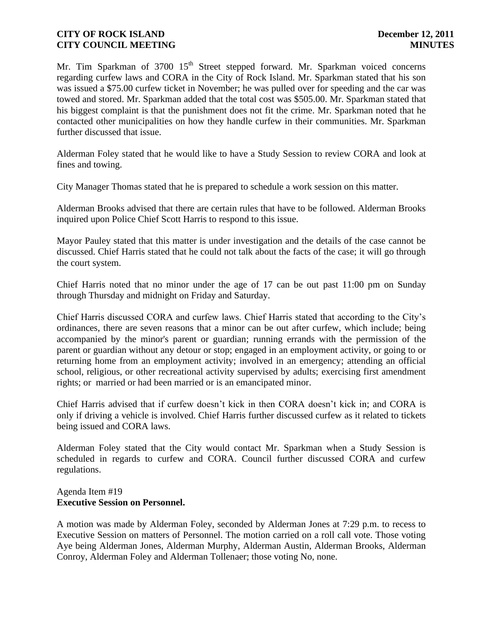Mr. Tim Sparkman of  $3700 \, 15<sup>th</sup>$  Street stepped forward. Mr. Sparkman voiced concerns regarding curfew laws and CORA in the City of Rock Island. Mr. Sparkman stated that his son was issued a \$75.00 curfew ticket in November; he was pulled over for speeding and the car was towed and stored. Mr. Sparkman added that the total cost was \$505.00. Mr. Sparkman stated that his biggest complaint is that the punishment does not fit the crime. Mr. Sparkman noted that he contacted other municipalities on how they handle curfew in their communities. Mr. Sparkman further discussed that issue.

Alderman Foley stated that he would like to have a Study Session to review CORA and look at fines and towing.

City Manager Thomas stated that he is prepared to schedule a work session on this matter.

Alderman Brooks advised that there are certain rules that have to be followed. Alderman Brooks inquired upon Police Chief Scott Harris to respond to this issue.

Mayor Pauley stated that this matter is under investigation and the details of the case cannot be discussed. Chief Harris stated that he could not talk about the facts of the case; it will go through the court system.

Chief Harris noted that no minor under the age of 17 can be out past 11:00 pm on Sunday through Thursday and midnight on Friday and Saturday.

Chief Harris discussed CORA and curfew laws. Chief Harris stated that according to the City's ordinances, there are seven reasons that a minor can be out after curfew, which include; being accompanied by the minor's parent or guardian; running errands with the permission of the parent or guardian without any detour or stop; engaged in an employment activity, or going to or returning home from an employment activity; involved in an emergency; attending an official school, religious, or other recreational activity supervised by adults; exercising first amendment rights; or married or had been married or is an emancipated minor.

Chief Harris advised that if curfew doesn't kick in then CORA doesn't kick in; and CORA is only if driving a vehicle is involved. Chief Harris further discussed curfew as it related to tickets being issued and CORA laws.

Alderman Foley stated that the City would contact Mr. Sparkman when a Study Session is scheduled in regards to curfew and CORA. Council further discussed CORA and curfew regulations.

#### Agenda Item #19 **Executive Session on Personnel.**

A motion was made by Alderman Foley, seconded by Alderman Jones at 7:29 p.m. to recess to Executive Session on matters of Personnel. The motion carried on a roll call vote. Those voting Aye being Alderman Jones, Alderman Murphy, Alderman Austin, Alderman Brooks, Alderman Conroy, Alderman Foley and Alderman Tollenaer; those voting No, none.